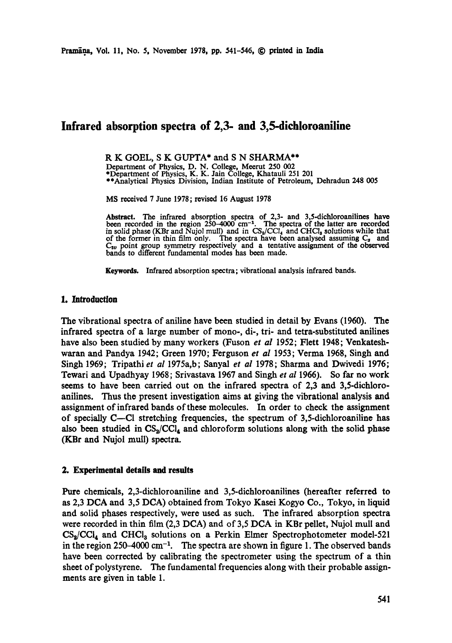# **Infrared absorption spectra of 2,3- and 3,5-dichloroaniline**

**R K GOEL, S K** GUPTA\* and **S N** SHARMA\*\*

Department of Physics, D. N. College, Meerut 250 002<br>\*Department of Physics, K. K. Jain College, Khatauli 251 201<br>\*\*Analytical Physics Division, Indian Institute of Petroleum, Dehradun 248 005

MS received 7 June 1978; revised 16 August 1978

Abstract. The infrared absorption spectra of 2,3- and 3,5-dichloroanilines have<br>been recorded in the region 250–4000 cm<sup>-1</sup>. The spectra of the latter are recorded<br>in solid phase (KBr and Nujol mull) and in  $CS_2/CCl_4$  and of the former in thin film only. The spectra have been analysed assuming  $C_s$  and  $C_{2\nu}$  point group symmetry respectively and a tentative assignment of the observed bands to different fundamental modes has been made.

**Keywords.** Infrared absorption spectra; vibrational analysis infrared bands.

# 1. Introduction

The vibrational spectra of aniline have been studied in detail by Evans (1960). The infrared spectra of a large number of mono-, di-, tri- and tetra-substituted anilines have also been studied by many workers (Fuson *et al* 1952; Flett 1948; Venkateshwaran and Pandya 1942; Green 1970; Ferguson *et al* 1953; Verma 1968, Singh and Singh 1969; Tripathi *et al* 1975a, b; Sanyal *et al* 1978; Sharma and Dwivedi 1976; Tewari and Upadhyay 1968; Srivastava 1967 and Singh *et al* 1966). So far no work seems to have been carried out on the infrared spectra of 2,3 and 3,5-diehloroanilines. Thus the present investigation aims at giving the vibrational analysis and assignment of infrared bands of these molecules. In order to check the assignment of specially C--CI stretching frequencies, the spectrum of 3,5-dichloroaniline has also been studied in  $CS_2/CCl_4$  and chloroform solutions along with the solid phase (KBr and Nujol mull) spectra.

# **2. Experimental details and results**

Pure chemicals, 2,3-dichloroaniline and 3,5-dichloroanilines (hereafter referred to as 2,3 DCA and 3,5 DCA) obtained from Tokyo Kasei Kogyo Co., Tokyo, in liquid and solid phases respectively, were used as such. The infrared absorption spectra were recorded in thin film (2,3 DCA) and of 3,5 DCA in KBr pellet, Nujol mull and  $CS_2/CCI_4$  and CHCl<sub>3</sub> solutions on a Perkin Elmer Spectrophotometer model-521 in the region 250-4000 cm<sup>-1</sup>. The spectra are shown in figure 1. The observed bands have been corrected by calibrating the spectrometer using the spectrum of a thin sheet of polystyrene. The fundamental frequencies along with their probable assignments are given in table 1.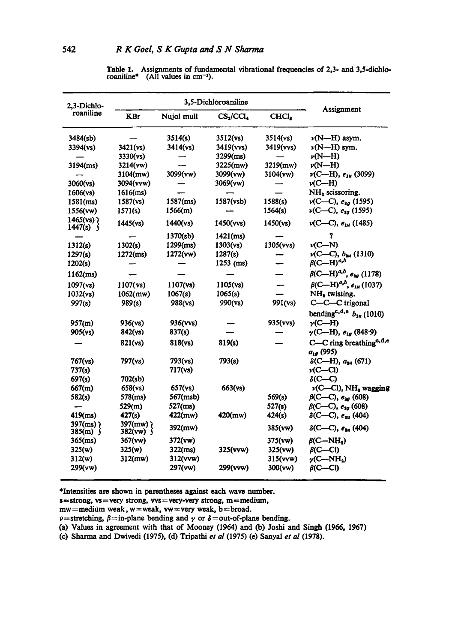| 2,3-Dichlo-<br>roaniline             | 3,5-Dichloroaniline         |             |                                   |                   |                                                        |
|--------------------------------------|-----------------------------|-------------|-----------------------------------|-------------------|--------------------------------------------------------|
|                                      | <b>KBr</b>                  | Nujol mull  | CS <sub>2</sub> /CCl <sub>4</sub> | CHCl <sub>8</sub> | Assignment                                             |
| 3484(sb)                             |                             | 3514(s)     | 3512(vs)                          | 3514(vs)          | $\nu(N-H)$ asym.                                       |
| 3394(vs)                             | 3421(vs)                    | 3414(vs)    | 3419(vvs)                         | 3419(vvs)         | $\nu(N-H)$ sym.                                        |
|                                      | 3330(vs)                    |             | 3299(ms)                          |                   | $\nu(N-H)$                                             |
| $3194$ (ms)                          | 3214(vw)                    |             | 3225(mw)                          | 3219(mw)          | $\nu(N-H)$                                             |
|                                      | 3104(mw)                    | 3099(vw)    | 3099(vw)                          | 3104(vw)          | $\nu$ (C-H), $e_{1u}$ (3099)                           |
| 3060(vs)                             | 3094(vvw)                   |             | 3069(vw)                          |                   | $\nu$ (C—H)                                            |
| 1606(vs)                             | $1616$ (ms)                 |             |                                   |                   | NH <sub>2</sub> scissoring.                            |
| $1581$ (ms)                          | 1587(vs)                    | $1587$ (ms) | 1587(vsb)                         | 1588(s)           | $\nu$ (C—C), $e_{2g}$ (1595)                           |
| 1556(vw)                             | 1571(s)                     | 1566(m)     |                                   | 1564(s)           | $\nu$ (C—C), $e_{3a}$ (1595)                           |
| $1465$ (vs) $\chi$<br>1447(s) $\int$ | 1445(vs)                    | 1440(vs)    | 1450(vvs)                         | 1450(ys)          | $\nu$ (C—C), $e_{1\mu}$ (1485)                         |
|                                      |                             | 1370(sb)    | $1421$ (ms)                       |                   | ?                                                      |
| 1312(s)                              | 1302(s)                     | $1299$ (ms) | 1303(vs)                          | 1305(vvs)         | $\nu$ (C-N)                                            |
| 1297(s)                              | $1272$ (ms)                 | 1272(vw)    | 1287(s)                           |                   | $\nu$ (C-C), $b_{3u}$ (1310)                           |
| 1202(s)                              |                             |             | $1253$ (ms)                       |                   | $\beta$ (C—H) <sup>a,b</sup>                           |
| 1162(ms)                             |                             |             |                                   |                   | $\beta$ (C—H) <sup>a,b</sup> , e <sub>2g</sub> (1178)  |
| 1097(vs)                             | 1107(vs)                    | $1107$ (vs) | 1105(vs)                          |                   | $\beta$ (C—H) <sup>a,b</sup> , e <sub>1u</sub> (1037)  |
| 1032(vs)                             | $1062$ (mw)                 | 1067(s)     | 1065(s)                           |                   | NH <sub>2</sub> twisting.                              |
| 997(s)                               | 989(s)                      | 988(vs)     | 990(ys)                           | 991(vs)           | C-C-C trigonal                                         |
|                                      |                             |             |                                   |                   | bending <sup>c, d, e</sup> $b_{1u}$ (1010)             |
| 957(m)                               | 936(vs)                     | 936(vvs)    |                                   | 935(vvs)          | $y$ (C—H)                                              |
| 905(vs)                              | 842(vs)                     | 837(s)      |                                   |                   | $\gamma$ (C—H), $e_{1g}$ (848.9)                       |
|                                      | 821(vs)                     | 818(vs)     | 819(s)                            |                   | C-C ring breathing <sup>e, d,e</sup><br>$a_{1g}$ (995) |
| $767$ (vs)                           | 797(vs)                     | 793(vs)     | 793(s)                            |                   | $\delta$ (C—H), $a_{3u}$ (671)                         |
| 737(s)                               |                             | 717(vs)     |                                   |                   | $\nu$ (C-Cl)                                           |
| 697(s)                               | 702(sb)                     |             |                                   |                   | $\delta$ (C—C)                                         |
| 667(m)                               | 658(vs)                     | 657(vs)     | 663(vs)                           |                   | v(C-Cl), NH, wagging                                   |
| 582(s)                               | 578(ms)                     | 567(msb)    |                                   | 569(s)            | $\beta$ (C-C), $e_{2g}$ (608)                          |
|                                      | 529(m)                      | $527$ (ms)  |                                   | 527(s)            | $\beta$ (C-C), $e_{ig}$ (608)                          |
| $419$ (ms)                           | 427(s)                      | 422(mw)     | $420$ (mw)                        | 424(s)            | $\delta$ (C—C), $e_{3u}$ (404)                         |
| 397(ms) $\lambda$<br>385(m) $\int$   | 397(mw) }<br>382(vw) $\int$ | 392(mw)     |                                   | 385(vw)           | $\delta$ (C—C), $e_{3u}$ (404)                         |
| $365$ (ms)                           | 367(vw)                     | 372(vw)     |                                   | 375(vw)           | $\beta$ (C-NH,)                                        |
| 325(w)                               | 325(w)                      | $322$ (ms)  | 325(vvw)                          | 325(vw)           | $\beta$ (C—Cl)                                         |
| 312(w)                               | $312$ (mw)                  | 312(vvw)    |                                   | 315(vvw)          | $\nu$ (C--NH <sub>a</sub> )                            |
| 299(vw)                              |                             | 297(vw)     | 299(vvw)                          | 300(vw)           | $\beta$ (C-Cl)                                         |

Table 1. Assignments of fundamental vibrational frequencies of 2,3- and 3,5-dichloroaniline\* (All values in  $cm^{-1}$ ).

\*Intensities are shown in parentheses against each wave number.

 $s =$ strong, vs = very strong, vvs = very-very strong, m = medium,

 $mw = medium$  weak,  $w = weak$ ,  $vw = very$  weak,  $b = broad$ .

 $\nu$ =stretching,  $\beta$ =in-plane bending and  $\gamma$  or  $\delta$ =out-of-plane bending.

(a) Values in agreement with that of Mooney (1964) and (b) Joshi and Singh (1966, 1967)

(c) Sharma and Dwivedi (1975), (d) Tripathi *et al* (1975) (e) Sanyal *et a!* (1978).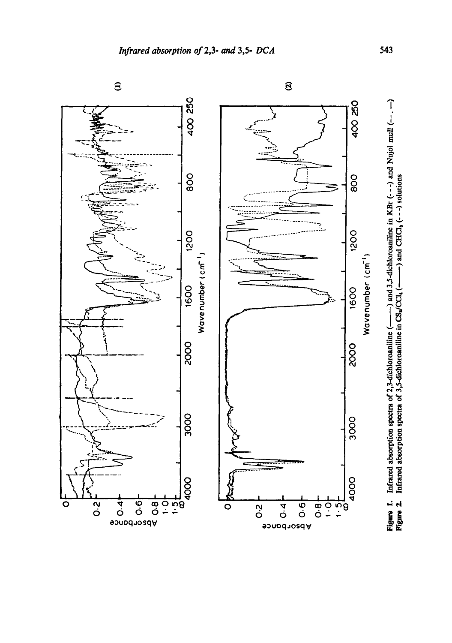

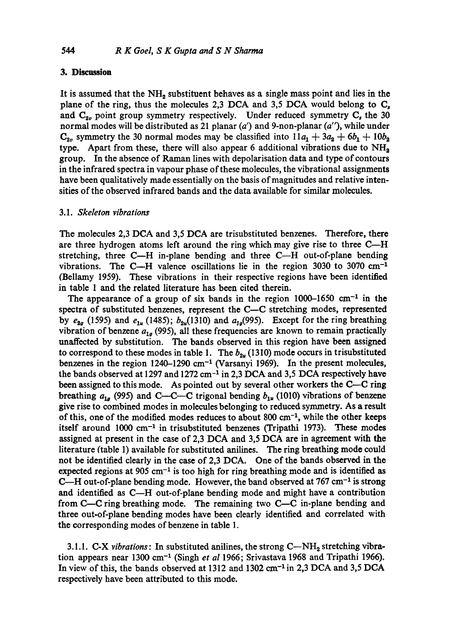# **3. Dlscnssion**

It is assumed that the  $NH<sub>2</sub>$  substituent behaves as a single mass point and lies in the plane of the ring, thus the molecules 2,3 DCA and 3,5 DCA would belong to  $C_s$ and  $C_{2v}$  point group symmetry respectively. Under reduced symmetry  $C_s$  the 30 normal modes will be distributed as 21 planar *(a')* and 9-non-planar *(a"),* while under  $C_{2v}$  symmetry the 30 normal modes may be classified into  $11a_1 + 3a_2 + 6b_1 + 10b_2$ type. Apart from these, there will also appear 6 additional vibrations due to  $NH<sub>2</sub>$ group. In the absence of Raman lines with depolarisation data and type of contours in the infrared spectra in vapour phase of these molecules, the vibrational assignments have been qualitatively made essentially on the basis of magnitudes and relative intensities of the observed infrared bands and the data available for similar molecules.

## 3.1. *Skeleton vibrations*

The molecules 2,3 DCA and 3,5 DCA are trisubstituted benzenes. Therefore, there are three hydrogen atoms left around the ring which may give rise to three  $C-H$ stretching, three  $C-H$  in-plane bending and three  $C-H$  out-of-plane bending vibrations. The C--H valence oscillations lie in the region  $3030$  to  $3070 \text{ cm}^{-1}$ (Bellamy 1959). These vibrations in their respective regions have been identified in table 1 and the related literature has been cited therein.

The appearance of a group of six bands in the region  $1000-1650$  cm<sup>-1</sup> in the spectra of substituted benzenes, represent the C-C stretching modes, represented by  $e_{2a}$  (1595) and  $e_{1u}$  (1485);  $b_{2u}$ (1310) and  $a_{1a}$ (995). Except for the ring breathing vibration of benzene  $a_{1g}$  (995), all these frequencies are known to remain practically unaffected by substitution. The bands observed in this region have been assigned to correspond to these modes in table 1. The  $b_{2u}$  (1310) mode occurs in trisubstituted benzenes in the region  $1240-1290$  cm<sup>-1</sup> (Varsanyi 1969). In the present molecules, the bands observed at 1297 and 1272 cm $^{-1}$  in 2,3 DCA and 3,5 DCA respectively have been assigned to this mode. As pointed out by several other workers the C--C ring breathing  $a_{1g}$  (995) and C--C--C trigonal bending  $b_{1u}$  (1010) vibrations of benzene give rise to combined modes in molecules belonging to reduced symmetry. As a result of this, one of the modified modes reduces to about  $800 \text{ cm}^{-1}$ , while the other keeps itself around  $1000 \text{ cm}^{-1}$  in trisubstituted benzenes (Tripathi 1973). These modes assigned at present in the case of 2,3 DCA and 3,5 DCA are in agreement with the literature (table 1) available for substituted anilines. The ring breathing mode could not be identified clearly in the case of 2,3 DCA. One of the bands observed in the expected regions at 905 cm<sup>-1</sup> is too high for ring breathing mode and is identified as  $C-H$  out-of-plane bending mode. However, the band observed at 767 cm<sup>-1</sup> is strong and identified as C--H out-of-plane bending mode and might have a contribution from  $C-C$  ring breathing mode. The remaining two  $C-C$  in-plane bending and three out-of-plane bending modes have been clearly identified and correlated with the corresponding modes of benzene in table 1.

3.1.1.  $C-X$  *vibrations*: In substituted anilines, the strong  $C-NH_2$  stretching vibration appears near 1300 cm<sup>-1</sup> (Singh et al 1966; Srivastava 1968 and Tripathi 1966). In view of this, the bands observed at  $1312$  and  $1302 \text{ cm}^{-1}$  in 2,3 DCA and 3,5 DCA respectively have been attributed to this mode.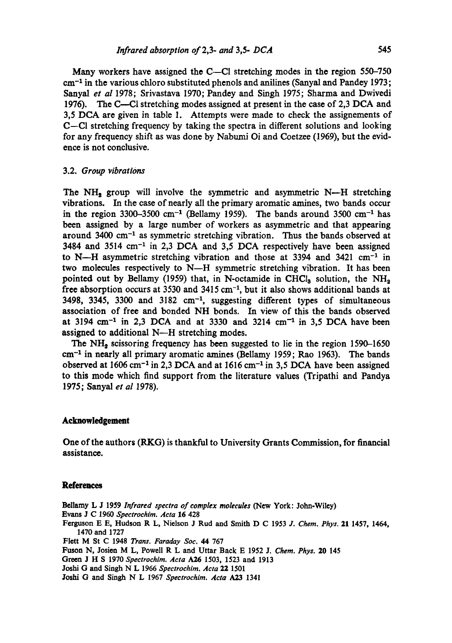Many workers have assigned the C--CI stretching modes in the region 550-750 cm<sup>-1</sup> in the various chloro substituted phenols and anilines (Sanyal and Pandey 1973; Sanyal *et al* 1978; Srivastava 1970; Pandey and Singh 1975; Sharma and Dwivedi 1976). The C----CI stretching modes assigned at present in the case of 2,3 DCA and 3,5 DCA are given in table 1. Attempts were made to check the assignements of C-CI stretching frequency by taking the spectra in different solutions and looking for any frequency shift as was done by Nabumi Oi and Coetzee (1969), but the evidence is not conclusive.

#### 3.2. *Group vibrations*

The NH<sub>2</sub> group will involve the symmetric and asymmetric N--H stretching vibrations. In the case of nearly all the primary aromatic amines, two bands occur in the region 3300-3500 cm<sup>-1</sup> (Bellamy 1959). The bands around 3500 cm<sup>-1</sup> has been assigned by a large number of workers as asymmetric and that appearing around 3400 cm<sup>-1</sup> as symmetric stretching vibration. Thus the bands observed at 3484 and 3514  $cm^{-1}$  in 2,3 DCA and 3,5 DCA respectively have been assigned to N--H asymmetric stretching vibration and those at 3394 and 3421  $cm^{-1}$  in two molecules respectively to  $N-H$  symmetric stretching vibration. It has been pointed out by Bellamy (1959) that, in N-octamide in CHCl<sub>3</sub> solution, the NH<sub>2</sub> free absorption occurs at 3530 and 3415 cm<sup>-1</sup>, but it also shows additional bands at 3498, 3345, 3300 and 3182  $cm^{-1}$ , suggesting different types of simultaneous association of free and bonded NH bonds. In view of this the bands observed at 3194 cm<sup>-1</sup> in 2,3 DCA and at 3330 and 3214 cm<sup>-1</sup> in 3,5 DCA have been assigned to additional N--H stretching modes.

The  $NH<sub>2</sub>$  scissoring frequency has been suggested to lie in the region 1590-1650  $cm<sup>-1</sup>$  in nearly all primary aromatic amines (Bellamy 1959; Rao 1963). The bands observed at  $1606 \text{ cm}^{-1}$  in 2,3 DCA and at  $1616 \text{ cm}^{-1}$  in 3,5 DCA have been assigned to this mode which find support from the literature values (Tripathi and Pandya 1975; Sanyal *et al* 1978).

#### **Acknowledgement**

**One of the authors (RKG) is thankful to University Grants Commission, for financial assistance.** 

### **References**

Bdlamy L J 1959 *Infrared spectra of complex molecules* (New York: John-Wiley) **Evans** J C 1960 *Spectrochim. Acta* 16 428 Ferguson E E, Hudson R L, Nielson J Rud and Smith D C 1953 *J. Chem. Phys.* 21 1457, 1464, 1470 and 1727 Flett M St C 1948 *Trans. Faraday Soc. 44* 767 Fuson N, Josien M L, Powell R L and Uttar Back E 1952 J. *Chem. Phys.* 20 145 Green J H S 1970 *Spectrochim. Acta A26* 1503, 1523 and 1913 Joshi G and Singh N L 1966 *Spectrochim. Acta* 22 1501

Joshi G and Singh N L 1967 *Speetrochim. Acta A23* 1341